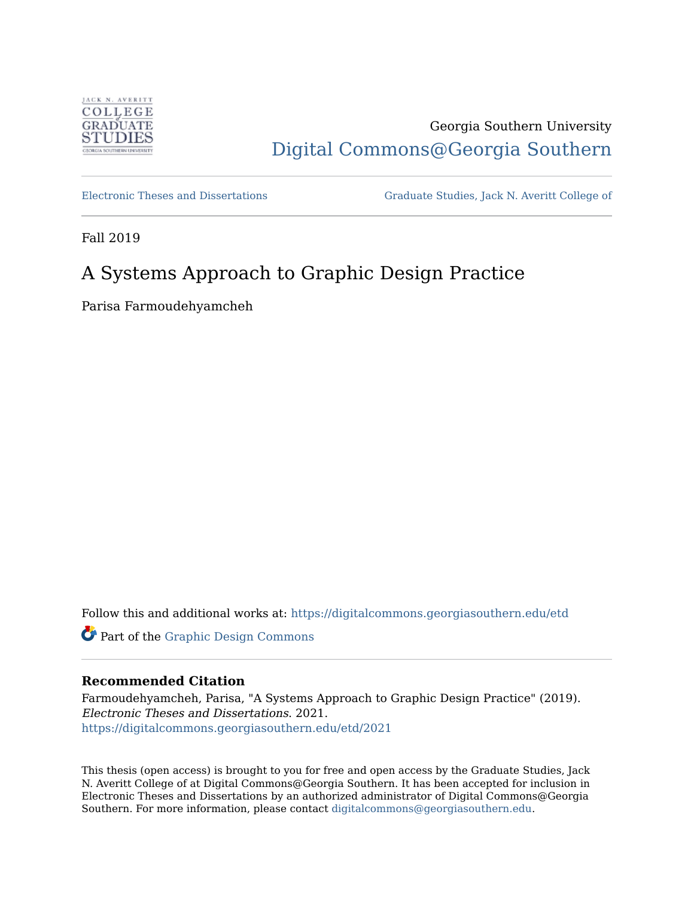

# Georgia Southern University [Digital Commons@Georgia Southern](https://digitalcommons.georgiasouthern.edu/)

[Electronic Theses and Dissertations](https://digitalcommons.georgiasouthern.edu/etd) [Graduate Studies, Jack N. Averitt College of](https://digitalcommons.georgiasouthern.edu/cogs) 

Fall 2019

# A Systems Approach to Graphic Design Practice

Parisa Farmoudehyamcheh

Follow this and additional works at: [https://digitalcommons.georgiasouthern.edu/etd](https://digitalcommons.georgiasouthern.edu/etd?utm_source=digitalcommons.georgiasouthern.edu%2Fetd%2F2021&utm_medium=PDF&utm_campaign=PDFCoverPages) 

Part of the [Graphic Design Commons](http://network.bepress.com/hgg/discipline/1134?utm_source=digitalcommons.georgiasouthern.edu%2Fetd%2F2021&utm_medium=PDF&utm_campaign=PDFCoverPages)

### **Recommended Citation**

Farmoudehyamcheh, Parisa, "A Systems Approach to Graphic Design Practice" (2019). Electronic Theses and Dissertations. 2021. [https://digitalcommons.georgiasouthern.edu/etd/2021](https://digitalcommons.georgiasouthern.edu/etd/2021?utm_source=digitalcommons.georgiasouthern.edu%2Fetd%2F2021&utm_medium=PDF&utm_campaign=PDFCoverPages) 

This thesis (open access) is brought to you for free and open access by the Graduate Studies, Jack N. Averitt College of at Digital Commons@Georgia Southern. It has been accepted for inclusion in Electronic Theses and Dissertations by an authorized administrator of Digital Commons@Georgia Southern. For more information, please contact [digitalcommons@georgiasouthern.edu](mailto:digitalcommons@georgiasouthern.edu).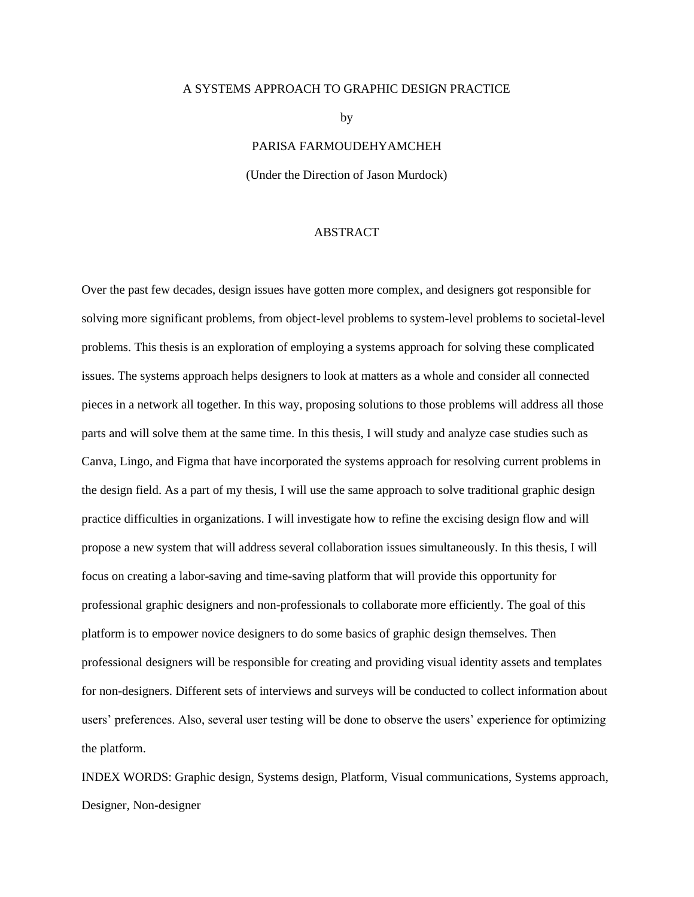#### A SYSTEMS APPROACH TO GRAPHIC DESIGN PRACTICE

by

PARISA FARMOUDEHYAMCHEH

(Under the Direction of Jason Murdock)

#### ABSTRACT

Over the past few decades, design issues have gotten more complex, and designers got responsible for solving more significant problems, from object-level problems to system-level problems to societal-level problems. This thesis is an exploration of employing a systems approach for solving these complicated issues. The systems approach helps designers to look at matters as a whole and consider all connected pieces in a network all together. In this way, proposing solutions to those problems will address all those parts and will solve them at the same time. In this thesis, I will study and analyze case studies such as Canva, Lingo, and Figma that have incorporated the systems approach for resolving current problems in the design field. As a part of my thesis, I will use the same approach to solve traditional graphic design practice difficulties in organizations. I will investigate how to refine the excising design flow and will propose a new system that will address several collaboration issues simultaneously. In this thesis, I will focus on creating a labor-saving and time-saving platform that will provide this opportunity for professional graphic designers and non-professionals to collaborate more efficiently. The goal of this platform is to empower novice designers to do some basics of graphic design themselves. Then professional designers will be responsible for creating and providing visual identity assets and templates for non-designers. Different sets of interviews and surveys will be conducted to collect information about users' preferences. Also, several user testing will be done to observe the users' experience for optimizing the platform.

INDEX WORDS: Graphic design, Systems design, Platform, Visual communications, Systems approach, Designer, Non-designer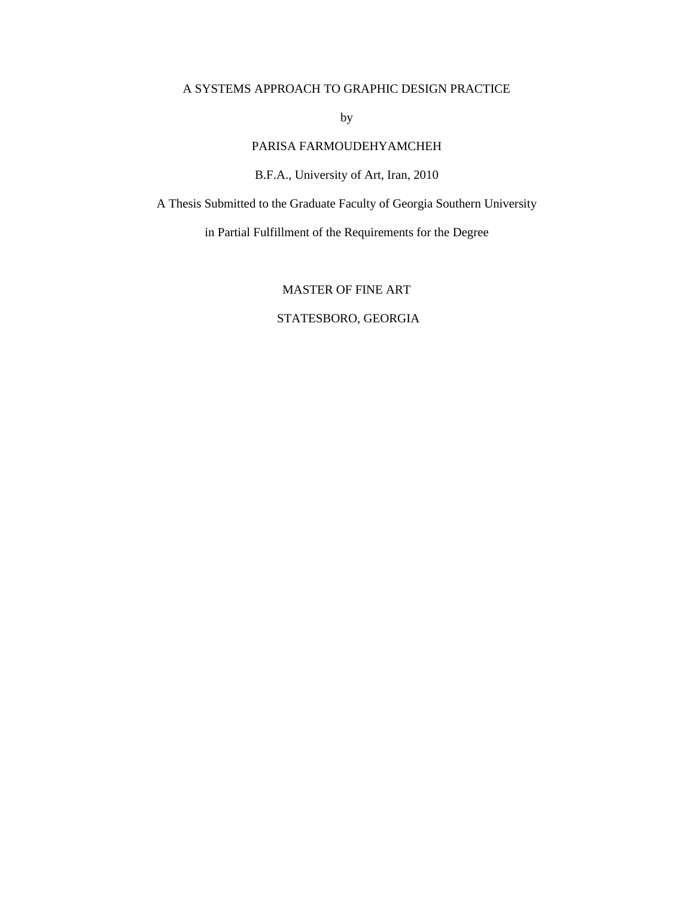### A SYSTEMS APPROACH TO GRAPHIC DESIGN PRACTICE

by

# PARISA FARMOUDEHYAMCHEH

B.F.A., University of Art, Iran, 2010

A Thesis Submitted to the Graduate Faculty of Georgia Southern University

in Partial Fulfillment of the Requirements for the Degree

# MASTER OF FINE ART

## STATESBORO, GEORGIA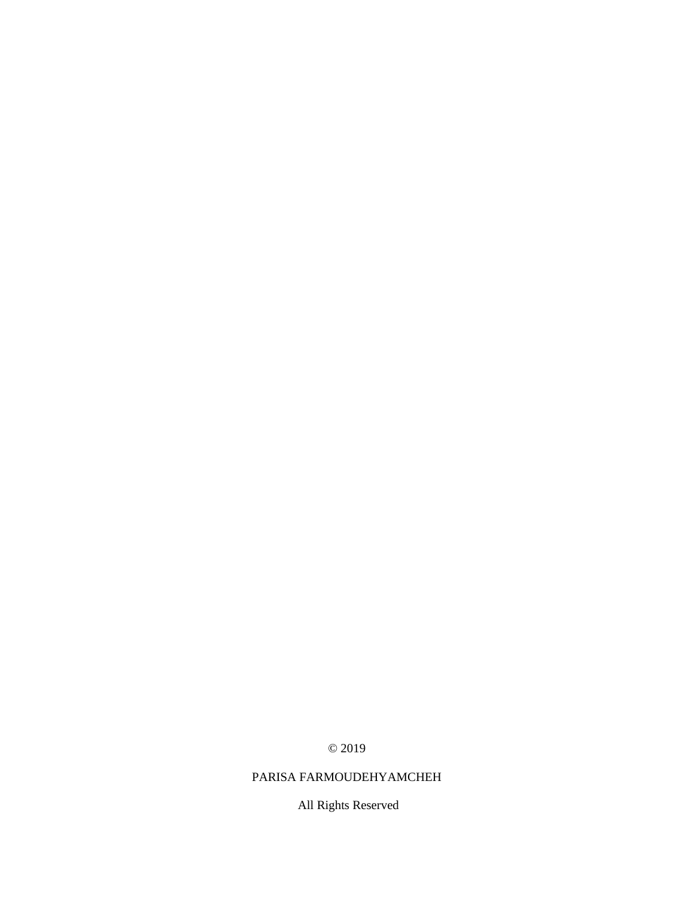© 2019

# PARISA FARMOUDEHYAMCHEH

All Rights Reserved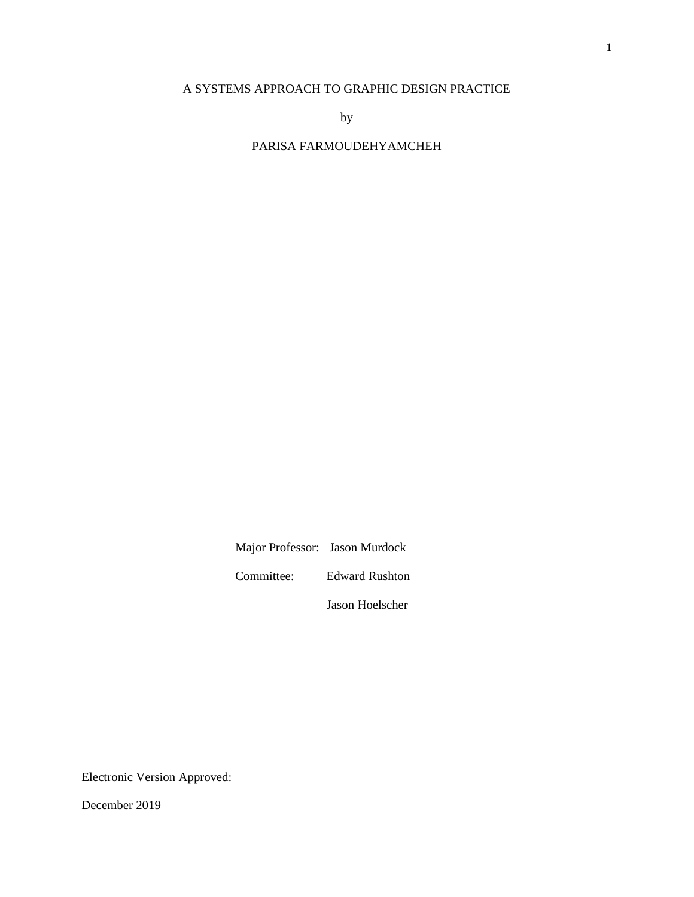### A SYSTEMS APPROACH TO GRAPHIC DESIGN PRACTICE

by

PARISA FARMOUDEHYAMCHEH

Major Professor: Jason Murdock

Committee: Edward Rushton

Jason Hoelscher

Electronic Version Approved:

December 2019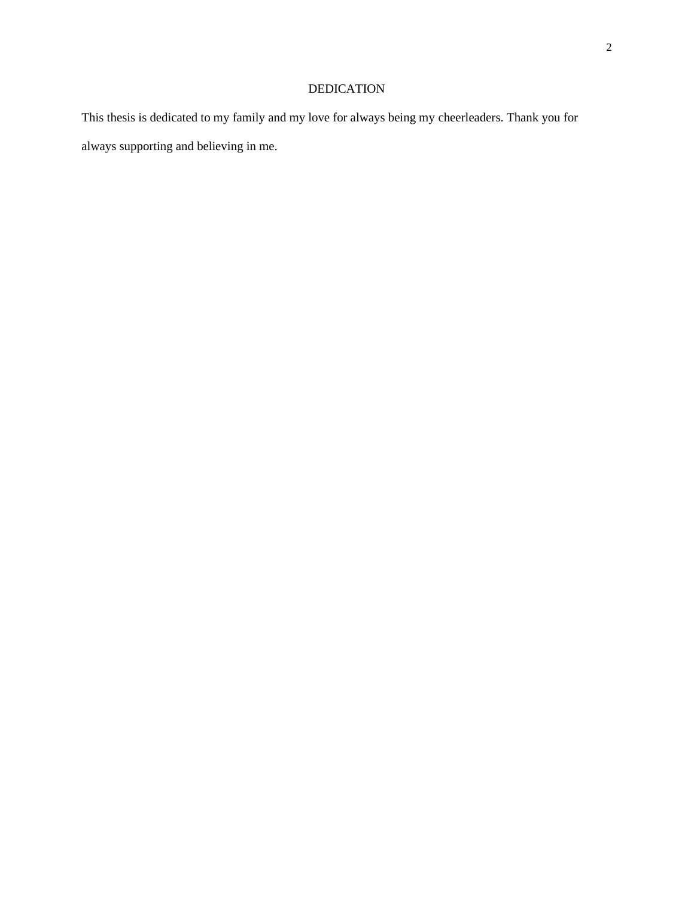# DEDICATION

This thesis is dedicated to my family and my love for always being my cheerleaders. Thank you for always supporting and believing in me.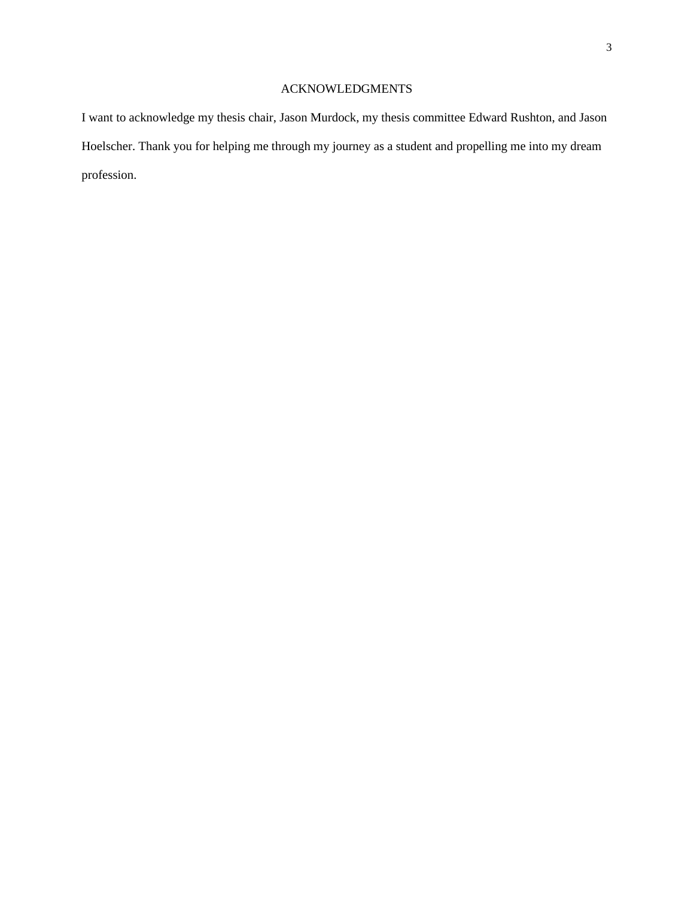# ACKNOWLEDGMENTS

I want to acknowledge my thesis chair, Jason Murdock, my thesis committee Edward Rushton, and Jason Hoelscher. Thank you for helping me through my journey as a student and propelling me into my dream profession.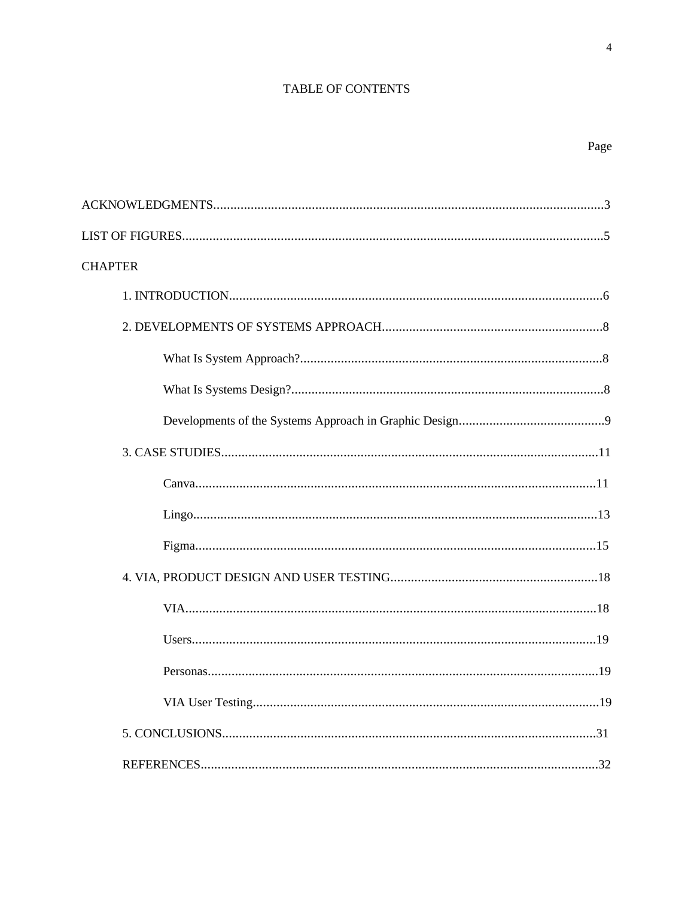### **TABLE OF CONTENTS**

| <b>CHAPTER</b> |
|----------------|
|                |
|                |
|                |
|                |
|                |
|                |
|                |
|                |
|                |
|                |
|                |
|                |
|                |
|                |
|                |
|                |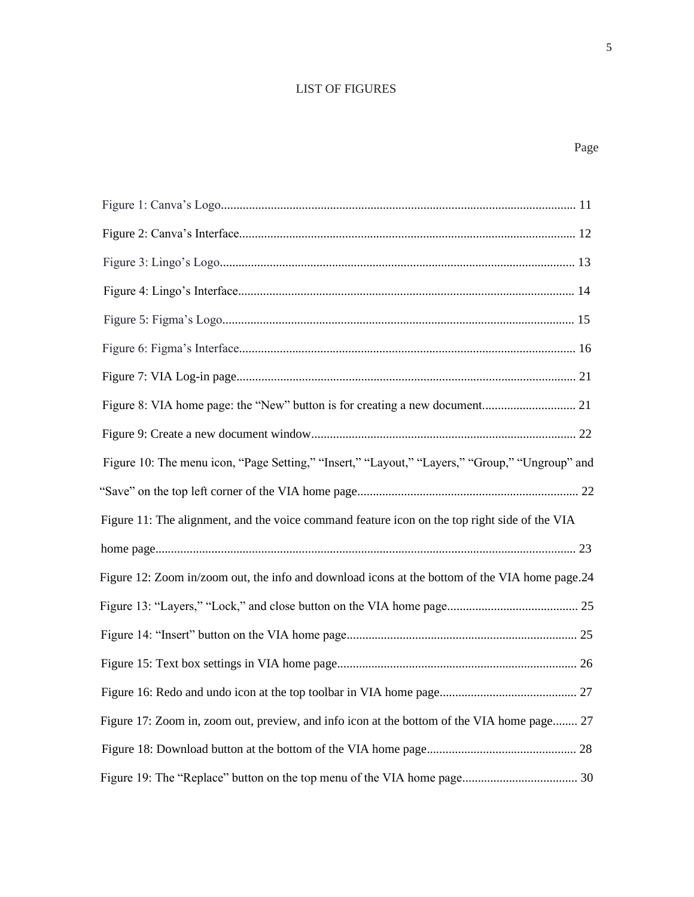# LIST OF FIGURES

| Figure 10: The menu icon, "Page Setting," "Insert," "Layout," "Layers," "Group," "Ungroup" and |
|------------------------------------------------------------------------------------------------|
|                                                                                                |
| Figure 11: The alignment, and the voice command feature icon on the top right side of the VIA  |
|                                                                                                |
|                                                                                                |
| Figure 12: Zoom in/zoom out, the info and download icons at the bottom of the VIA home page.24 |
|                                                                                                |
|                                                                                                |
|                                                                                                |
|                                                                                                |
| Figure 17: Zoom in, zoom out, preview, and info icon at the bottom of the VIA home page 27     |
|                                                                                                |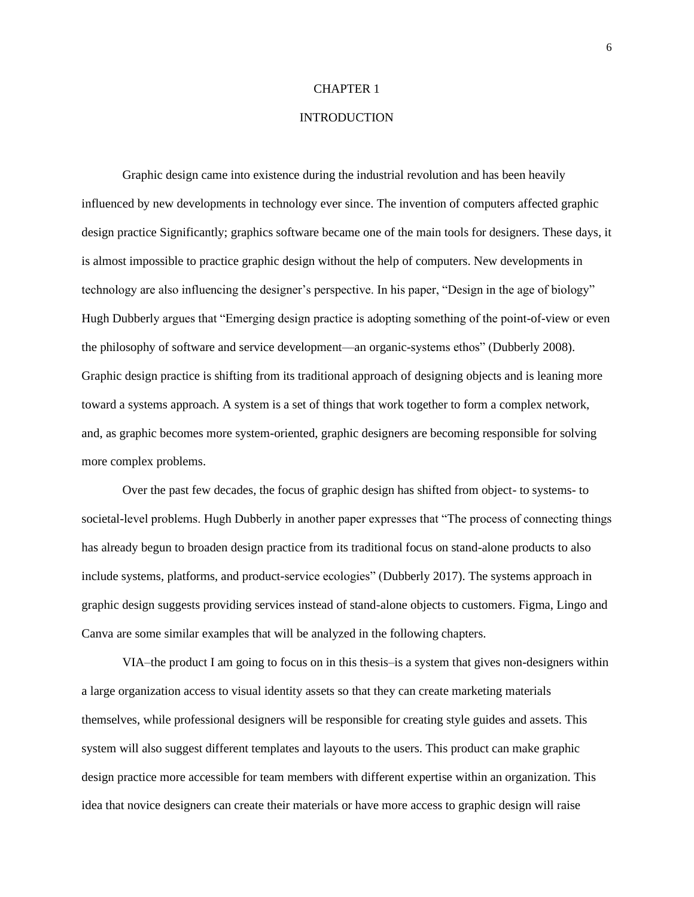#### CHAPTER 1

### INTRODUCTION

Graphic design came into existence during the industrial revolution and has been heavily influenced by new developments in technology ever since. The invention of computers affected graphic design practice Significantly; graphics software became one of the main tools for designers. These days, it is almost impossible to practice graphic design without the help of computers. New developments in technology are also influencing the designer's perspective. In his paper, "Design in the age of biology" Hugh Dubberly argues that "Emerging design practice is adopting something of the point-of-view or even the philosophy of software and service development—an organic-systems ethos" (Dubberly 2008). Graphic design practice is shifting from its traditional approach of designing objects and is leaning more toward a systems approach. A system is a set of things that work together to form a complex network, and, as graphic becomes more system-oriented, graphic designers are becoming responsible for solving more complex problems.

Over the past few decades, the focus of graphic design has shifted from object- to systems- to societal-level problems. Hugh Dubberly in another paper expresses that "The process of connecting things has already begun to broaden design practice from its traditional focus on stand-alone products to also include systems, platforms, and product-service ecologies" (Dubberly 2017). The systems approach in graphic design suggests providing services instead of stand-alone objects to customers. Figma, Lingo and Canva are some similar examples that will be analyzed in the following chapters.

VIA–the product I am going to focus on in this thesis–is a system that gives non-designers within a large organization access to visual identity assets so that they can create marketing materials themselves, while professional designers will be responsible for creating style guides and assets. This system will also suggest different templates and layouts to the users. This product can make graphic design practice more accessible for team members with different expertise within an organization. This idea that novice designers can create their materials or have more access to graphic design will raise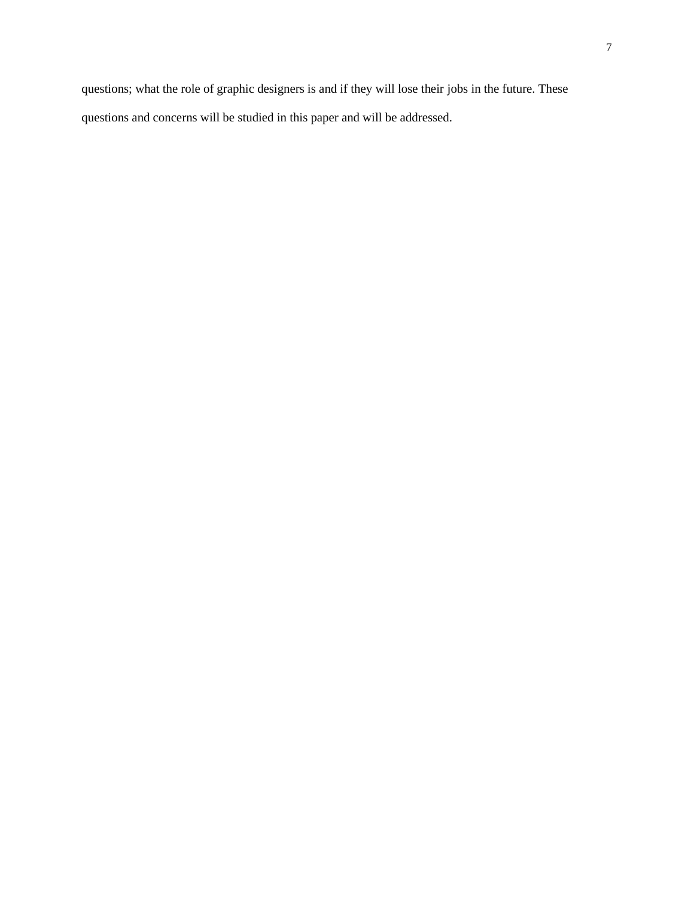questions; what the role of graphic designers is and if they will lose their jobs in the future. These questions and concerns will be studied in this paper and will be addressed.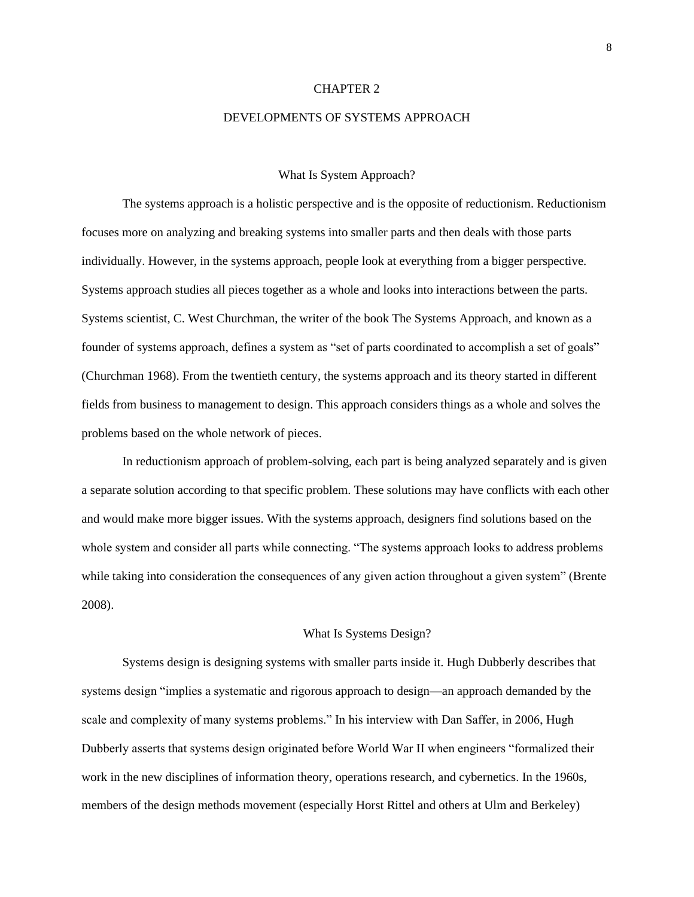#### CHAPTER 2

#### DEVELOPMENTS OF SYSTEMS APPROACH

#### What Is System Approach?

The systems approach is a holistic perspective and is the opposite of reductionism. Reductionism focuses more on analyzing and breaking systems into smaller parts and then deals with those parts individually. However, in the systems approach, people look at everything from a bigger perspective. Systems approach studies all pieces together as a whole and looks into interactions between the parts. Systems scientist, C. West Churchman, the writer of the book The Systems Approach, and known as a founder of systems approach, defines a system as "set of parts coordinated to accomplish a set of goals" (Churchman 1968). From the twentieth century, the systems approach and its theory started in different fields from business to management to design. This approach considers things as a whole and solves the problems based on the whole network of pieces.

In reductionism approach of problem-solving, each part is being analyzed separately and is given a separate solution according to that specific problem. These solutions may have conflicts with each other and would make more bigger issues. With the systems approach, designers find solutions based on the whole system and consider all parts while connecting. "The systems approach looks to address problems while taking into consideration the consequences of any given action throughout a given system" (Brente 2008).

#### What Is Systems Design?

Systems design is designing systems with smaller parts inside it. Hugh Dubberly describes that systems design "implies a systematic and rigorous approach to design—an approach demanded by the scale and complexity of many systems problems." In his interview with Dan Saffer, in 2006, Hugh Dubberly asserts that systems design originated before World War II when engineers "formalized their work in the new disciplines of information theory, operations research, and cybernetics. In the 1960s, members of the design methods movement (especially Horst Rittel and others at Ulm and Berkeley)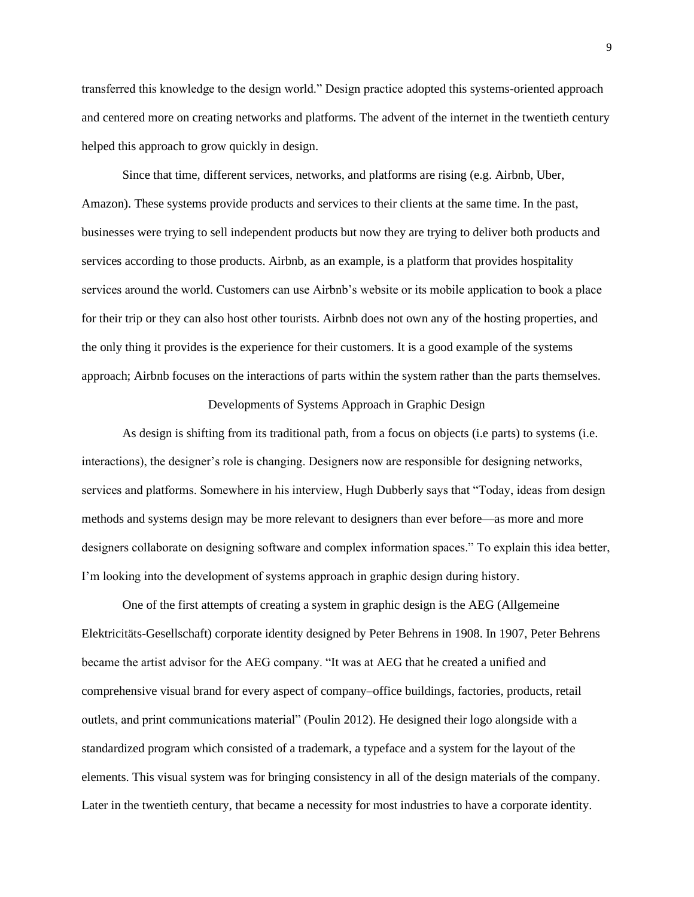transferred this knowledge to the design world." Design practice adopted this systems-oriented approach and centered more on creating networks and platforms. The advent of the internet in the twentieth century helped this approach to grow quickly in design.

Since that time, different services, networks, and platforms are rising (e.g. Airbnb, Uber, Amazon). These systems provide products and services to their clients at the same time. In the past, businesses were trying to sell independent products but now they are trying to deliver both products and services according to those products. Airbnb, as an example, is a platform that provides hospitality services around the world. Customers can use Airbnb's website or its mobile application to book a place for their trip or they can also host other tourists. Airbnb does not own any of the hosting properties, and the only thing it provides is the experience for their customers. It is a good example of the systems approach; Airbnb focuses on the interactions of parts within the system rather than the parts themselves.

### Developments of Systems Approach in Graphic Design

As design is shifting from its traditional path, from a focus on objects (i.e parts) to systems (i.e. interactions), the designer's role is changing. Designers now are responsible for designing networks, services and platforms. Somewhere in his interview, Hugh Dubberly says that "Today, ideas from design methods and systems design may be more relevant to designers than ever before—as more and more designers collaborate on designing software and complex information spaces." To explain this idea better, I'm looking into the development of systems approach in graphic design during history.

One of the first attempts of creating a system in graphic design is the AEG (Allgemeine Elektricitäts-Gesellschaft) corporate identity designed by Peter Behrens in 1908. In 1907, Peter Behrens became the artist advisor for the AEG company. "It was at AEG that he created a unified and comprehensive visual brand for every aspect of company–office buildings, factories, products, retail outlets, and print communications material" (Poulin 2012). He designed their logo alongside with a standardized program which consisted of a trademark, a typeface and a system for the layout of the elements. This visual system was for bringing consistency in all of the design materials of the company. Later in the twentieth century, that became a necessity for most industries to have a corporate identity.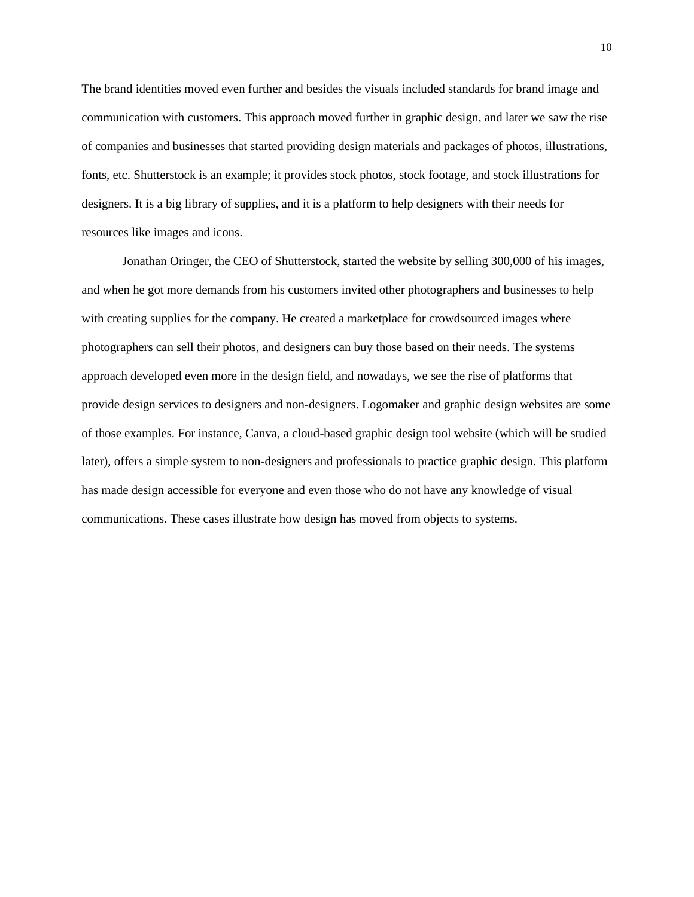The brand identities moved even further and besides the visuals included standards for brand image and communication with customers. This approach moved further in graphic design, and later we saw the rise of companies and businesses that started providing design materials and packages of photos, illustrations, fonts, etc. Shutterstock is an example; it provides stock photos, stock footage, and stock illustrations for designers. It is a big library of supplies, and it is a platform to help designers with their needs for resources like images and icons.

Jonathan Oringer, the CEO of Shutterstock, started the website by selling 300,000 of his images, and when he got more demands from his customers invited other photographers and businesses to help with creating supplies for the company. He created a marketplace for crowdsourced images where photographers can sell their photos, and designers can buy those based on their needs. The systems approach developed even more in the design field, and nowadays, we see the rise of platforms that provide design services to designers and non-designers. Logomaker and graphic design websites are some of those examples. For instance, Canva, a cloud-based graphic design tool website (which will be studied later), offers a simple system to non-designers and professionals to practice graphic design. This platform has made design accessible for everyone and even those who do not have any knowledge of visual communications. These cases illustrate how design has moved from objects to systems.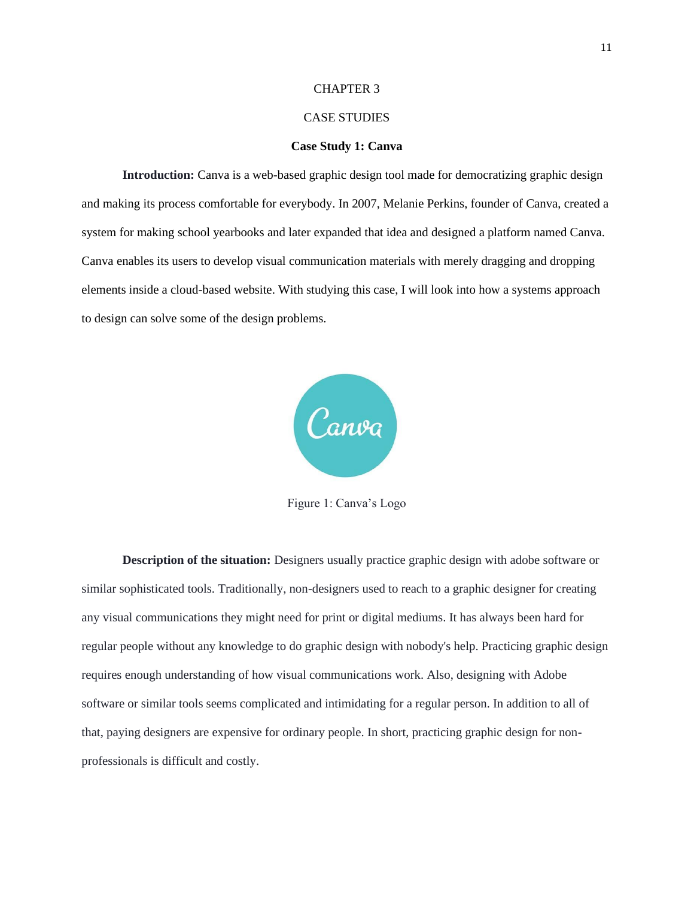#### CHAPTER 3

### CASE STUDIES

#### **Case Study 1: Canva**

**Introduction:** Canva is a web-based graphic design tool made for democratizing graphic design and making its process comfortable for everybody. In 2007, Melanie Perkins, founder of Canva, created a system for making school yearbooks and later expanded that idea and designed a platform named Canva. Canva enables its users to develop visual communication materials with merely dragging and dropping elements inside a cloud-based website. With studying this case, I will look into how a systems approach to design can solve some of the design problems.



Figure 1: Canva's Logo

**Description of the situation:** Designers usually practice graphic design with adobe software or similar sophisticated tools. Traditionally, non-designers used to reach to a graphic designer for creating any visual communications they might need for print or digital mediums. It has always been hard for regular people without any knowledge to do graphic design with nobody's help. Practicing graphic design requires enough understanding of how visual communications work. Also, designing with Adobe software or similar tools seems complicated and intimidating for a regular person. In addition to all of that, paying designers are expensive for ordinary people. In short, practicing graphic design for nonprofessionals is difficult and costly.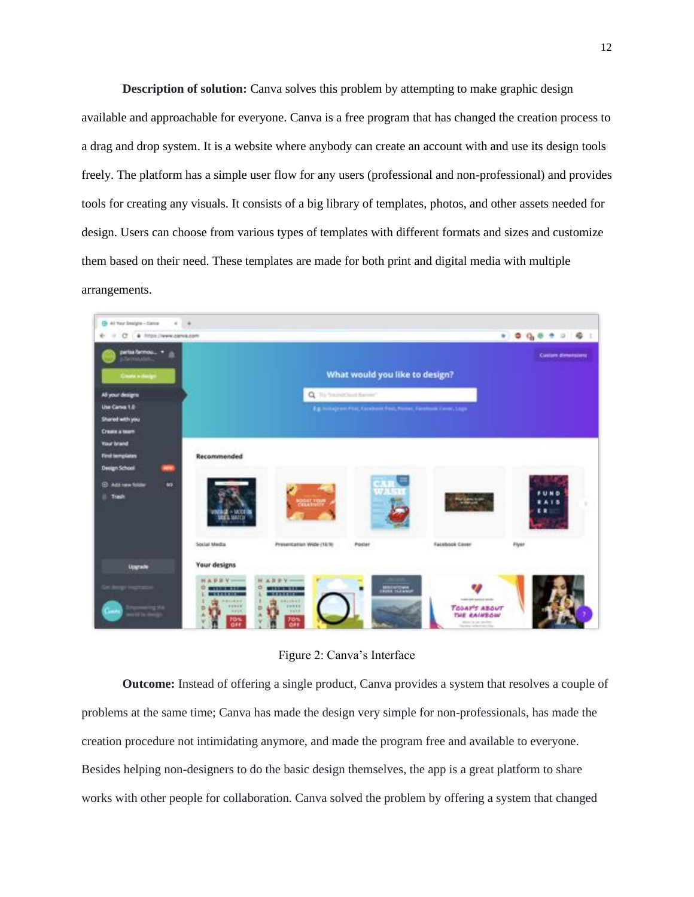**Description of solution:** Canva solves this problem by attempting to make graphic design available and approachable for everyone. Canva is a free program that has changed the creation process to a drag and drop system. It is a website where anybody can create an account with and use its design tools freely. The platform has a simple user flow for any users (professional and non-professional) and provides tools for creating any visuals. It consists of a big library of templates, photos, and other assets needed for design. Users can choose from various types of templates with different formats and sizes and customize them based on their need. These templates are made for both print and digital media with multiple arrangements.



Figure 2: Canva's Interface

**Outcome:** Instead of offering a single product, Canva provides a system that resolves a couple of problems at the same time; Canva has made the design very simple for non-professionals, has made the creation procedure not intimidating anymore, and made the program free and available to everyone. Besides helping non-designers to do the basic design themselves, the app is a great platform to share works with other people for collaboration. Canva solved the problem by offering a system that changed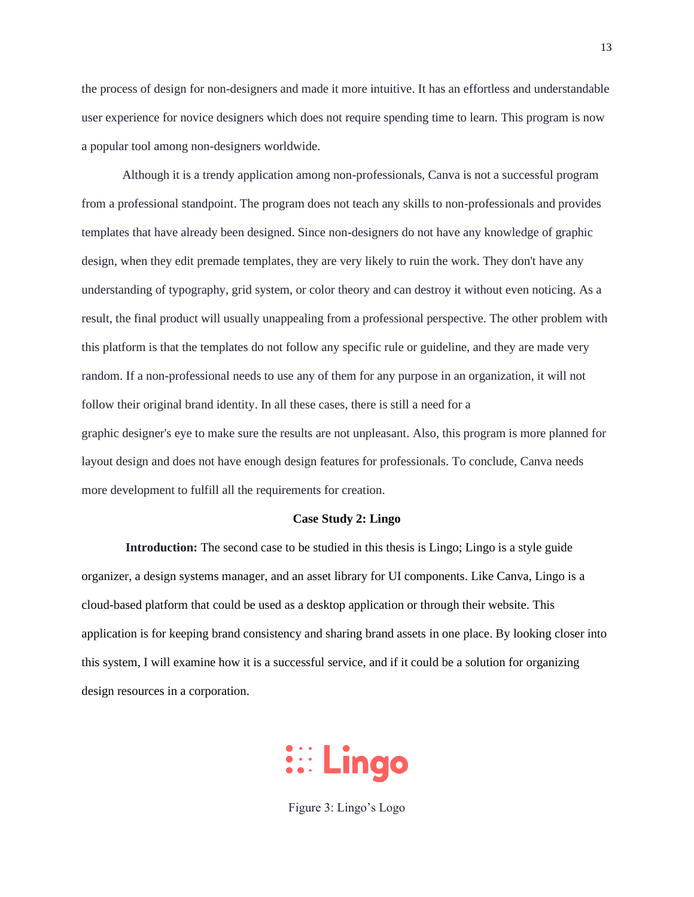the process of design for non-designers and made it more intuitive. It has an effortless and understandable user experience for novice designers which does not require spending time to learn. This program is now a popular tool among non-designers worldwide.

Although it is a trendy application among non-professionals, Canva is not a successful program from a professional standpoint. The program does not teach any skills to non-professionals and provides templates that have already been designed. Since non-designers do not have any knowledge of graphic design, when they edit premade templates, they are very likely to ruin the work. They don't have any understanding of typography, grid system, or color theory and can destroy it without even noticing. As a result, the final product will usually unappealing from a professional perspective. The other problem with this platform is that the templates do not follow any specific rule or guideline, and they are made very random. If a non-professional needs to use any of them for any purpose in an organization, it will not follow their original brand identity. In all these cases, there is still a need for a graphic designer's eye to make sure the results are not unpleasant. Also, this program is more planned for layout design and does not have enough design features for professionals. To conclude, Canva needs more development to fulfill all the requirements for creation.

#### **Case Study 2: Lingo**

**Introduction:** The second case to be studied in this thesis is Lingo; Lingo is a style guide organizer, a design systems manager, and an asset library for UI components. Like Canva, Lingo is a cloud-based platform that could be used as a desktop application or through their website. This application is for keeping brand consistency and sharing brand assets in one place. By looking closer into this system, I will examine how it is a successful service, and if it could be a solution for organizing design resources in a corporation.



Figure 3: Lingo's Logo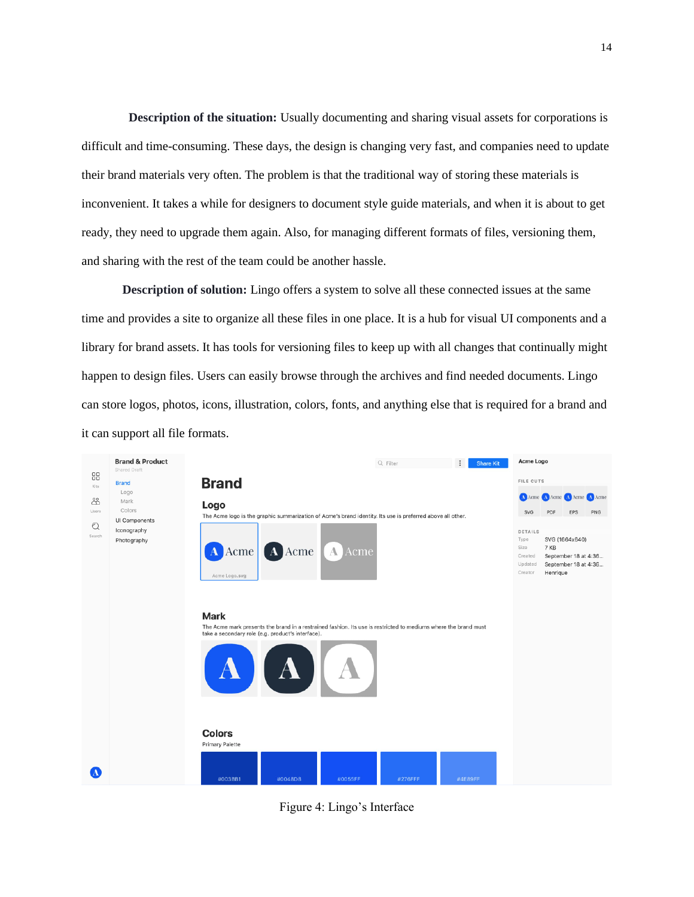**Description of the situation:** Usually documenting and sharing visual assets for corporations is difficult and time-consuming. These days, the design is changing very fast, and companies need to update their brand materials very often. The problem is that the traditional way of storing these materials is inconvenient. It takes a while for designers to document style guide materials, and when it is about to get ready, they need to upgrade them again. Also, for managing different formats of files, versioning them, and sharing with the rest of the team could be another hassle.

**Description of solution:** Lingo offers a system to solve all these connected issues at the same time and provides a site to organize all these files in one place. It is a hub for visual UI components and a library for brand assets. It has tools for versioning files to keep up with all changes that continually might happen to design files. Users can easily browse through the archives and find needed documents. Lingo can store logos, photos, icons, illustration, colors, fonts, and anything else that is required for a brand and it can support all file formats.



Figure 4: Lingo's Interface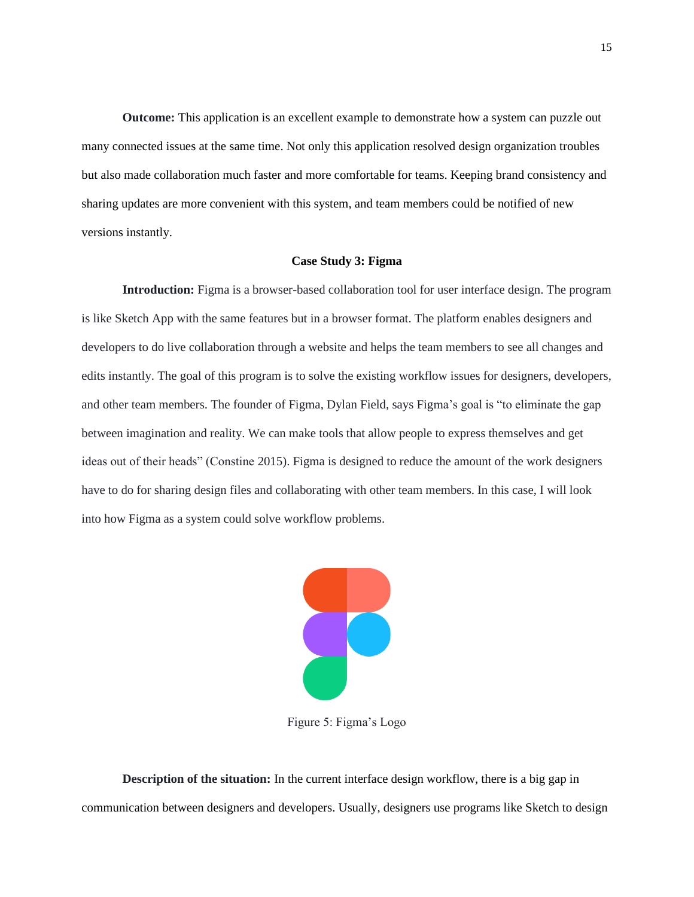**Outcome:** This application is an excellent example to demonstrate how a system can puzzle out many connected issues at the same time. Not only this application resolved design organization troubles but also made collaboration much faster and more comfortable for teams. Keeping brand consistency and sharing updates are more convenient with this system, and team members could be notified of new versions instantly.

#### **Case Study 3: Figma**

**Introduction:** Figma is a browser-based collaboration tool for user interface design. The program is like Sketch App with the same features but in a browser format. The platform enables designers and developers to do live collaboration through a website and helps the team members to see all changes and edits instantly. The goal of this program is to solve the existing workflow issues for designers, developers, and other team members. The founder of Figma, Dylan Field, says Figma's goal is "to eliminate the gap between imagination and reality. We can make tools that allow people to express themselves and get ideas out of their heads" (Constine 2015). Figma is designed to reduce the amount of the work designers have to do for sharing design files and collaborating with other team members. In this case, I will look into how Figma as a system could solve workflow problems.



Figure 5: Figma's Logo

**Description of the situation:** In the current interface design workflow, there is a big gap in communication between designers and developers. Usually, designers use programs like Sketch to design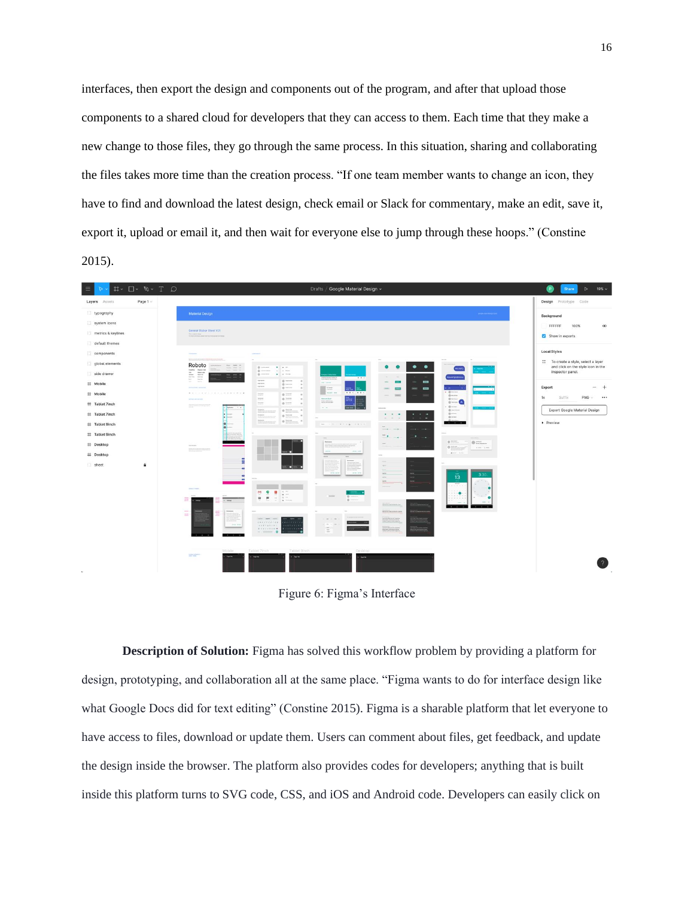interfaces, then export the design and components out of the program, and after that upload those components to a shared cloud for developers that they can access to them. Each time that they make a new change to those files, they go through the same process. In this situation, sharing and collaborating the files takes more time than the creation process. "If one team member wants to change an icon, they have to find and download the latest design, check email or Slack for commentary, make an edit, save it, export it, upload or email it, and then wait for everyone else to jump through these hoops." (Constine 2015).



Figure 6: Figma's Interface

**Description of Solution:** Figma has solved this workflow problem by providing a platform for design, prototyping, and collaboration all at the same place. "Figma wants to do for interface design like what Google Docs did for text editing" (Constine 2015). Figma is a sharable platform that let everyone to have access to files, download or update them. Users can comment about files, get feedback, and update the design inside the browser. The platform also provides codes for developers; anything that is built inside this platform turns to SVG code, CSS, and iOS and Android code. Developers can easily click on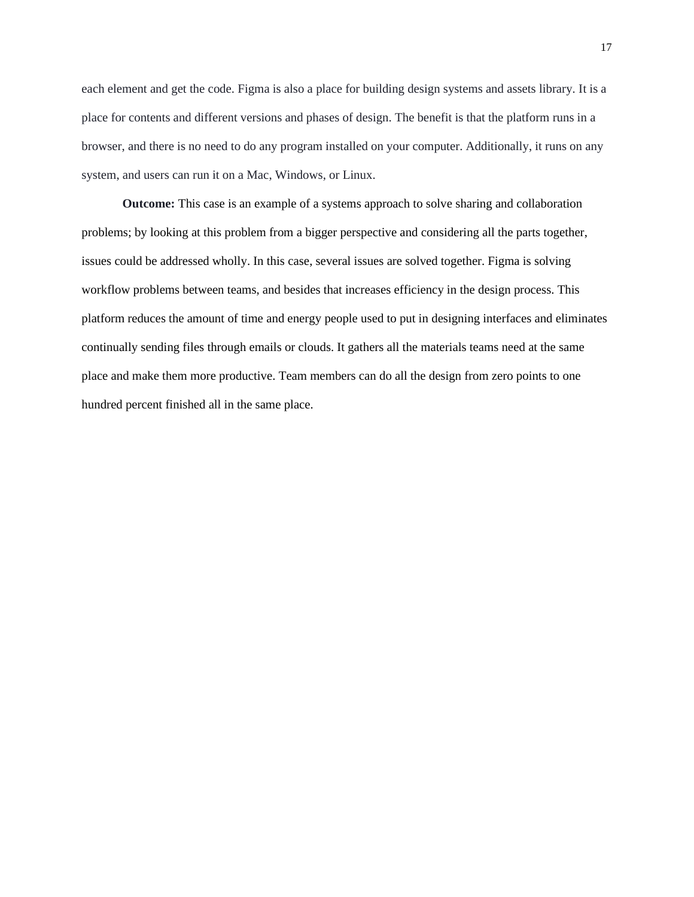each element and get the code. Figma is also a place for building design systems and assets library. It is a place for contents and different versions and phases of design. The benefit is that the platform runs in a browser, and there is no need to do any program installed on your computer. Additionally, it runs on any system, and users can run it on a Mac, Windows, or Linux.

**Outcome:** This case is an example of a systems approach to solve sharing and collaboration problems; by looking at this problem from a bigger perspective and considering all the parts together, issues could be addressed wholly. In this case, several issues are solved together. Figma is solving workflow problems between teams, and besides that increases efficiency in the design process. This platform reduces the amount of time and energy people used to put in designing interfaces and eliminates continually sending files through emails or clouds. It gathers all the materials teams need at the same place and make them more productive. Team members can do all the design from zero points to one hundred percent finished all in the same place.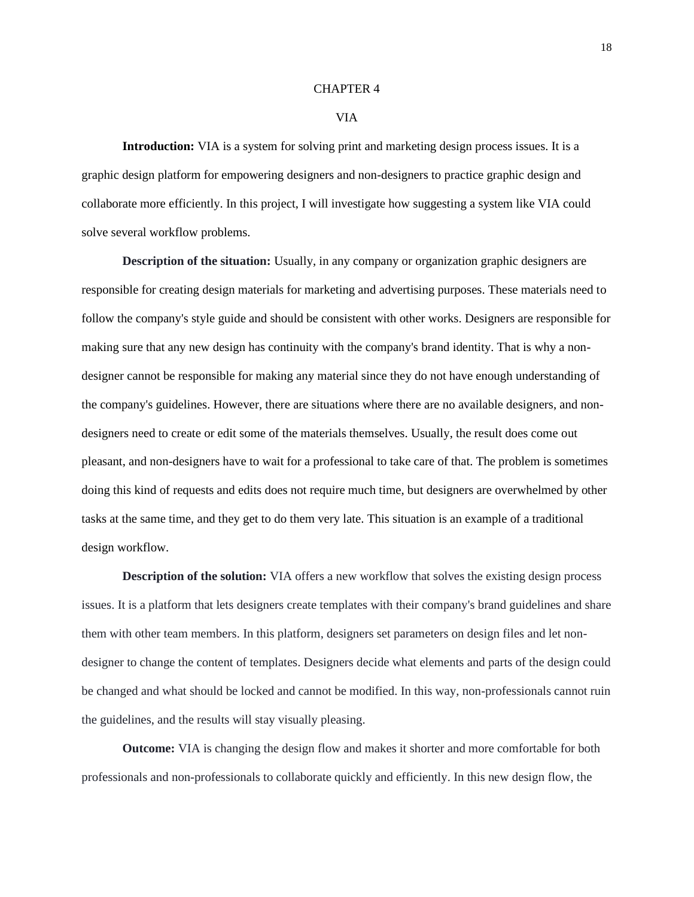#### CHAPTER 4

#### VIA

**Introduction:** VIA is a system for solving print and marketing design process issues. It is a graphic design platform for empowering designers and non-designers to practice graphic design and collaborate more efficiently. In this project, I will investigate how suggesting a system like VIA could solve several workflow problems.

**Description of the situation:** Usually, in any company or organization graphic designers are responsible for creating design materials for marketing and advertising purposes. These materials need to follow the company's style guide and should be consistent with other works. Designers are responsible for making sure that any new design has continuity with the company's brand identity. That is why a nondesigner cannot be responsible for making any material since they do not have enough understanding of the company's guidelines. However, there are situations where there are no available designers, and nondesigners need to create or edit some of the materials themselves. Usually, the result does come out pleasant, and non-designers have to wait for a professional to take care of that. The problem is sometimes doing this kind of requests and edits does not require much time, but designers are overwhelmed by other tasks at the same time, and they get to do them very late. This situation is an example of a traditional design workflow.

**Description of the solution:** VIA offers a new workflow that solves the existing design process issues. It is a platform that lets designers create templates with their company's brand guidelines and share them with other team members. In this platform, designers set parameters on design files and let nondesigner to change the content of templates. Designers decide what elements and parts of the design could be changed and what should be locked and cannot be modified. In this way, non-professionals cannot ruin the guidelines, and the results will stay visually pleasing.

**Outcome:** VIA is changing the design flow and makes it shorter and more comfortable for both professionals and non-professionals to collaborate quickly and efficiently. In this new design flow, the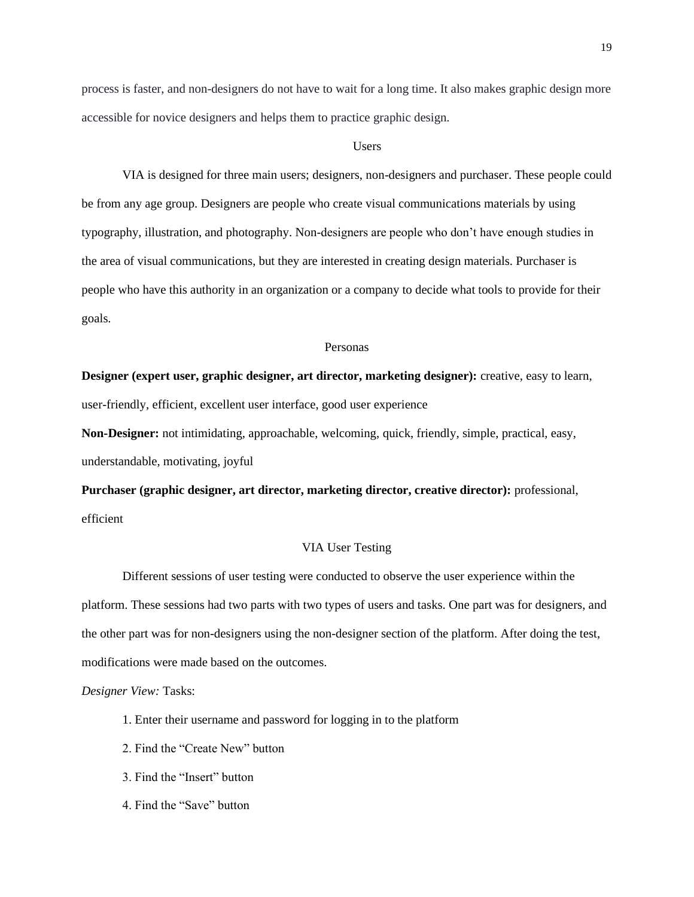process is faster, and non-designers do not have to wait for a long time. It also makes graphic design more accessible for novice designers and helps them to practice graphic design.

#### **Users**

VIA is designed for three main users; designers, non-designers and purchaser. These people could be from any age group. Designers are people who create visual communications materials by using typography, illustration, and photography. Non-designers are people who don't have enough studies in the area of visual communications, but they are interested in creating design materials. Purchaser is people who have this authority in an organization or a company to decide what tools to provide for their goals.

#### Personas

# **Designer (expert user, graphic designer, art director, marketing designer):** creative, easy to learn,

user-friendly, efficient, excellent user interface, good user experience

**Non-Designer:** not intimidating, approachable, welcoming, quick, friendly, simple, practical, easy, understandable, motivating, joyful

**Purchaser (graphic designer, art director, marketing director, creative director):** professional, efficient

#### VIA User Testing

Different sessions of user testing were conducted to observe the user experience within the platform. These sessions had two parts with two types of users and tasks. One part was for designers, and the other part was for non-designers using the non-designer section of the platform. After doing the test, modifications were made based on the outcomes.

*Designer View:* Tasks:

- 1. Enter their username and password for logging in to the platform
- 2. Find the "Create New" button
- 3. Find the "Insert" button
- 4. Find the "Save" button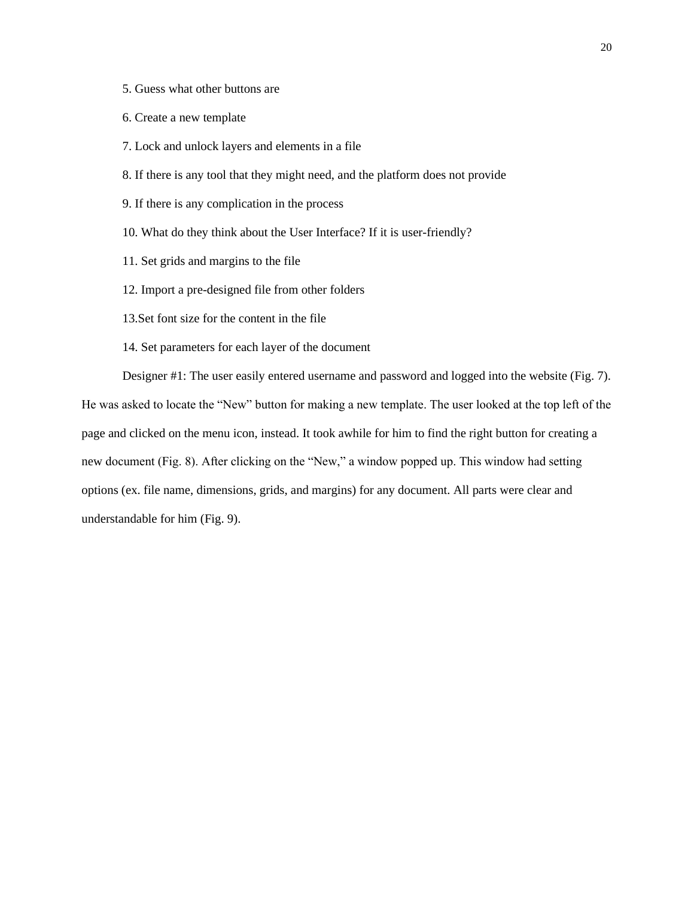- 5. Guess what other buttons are
- 6. Create a new template
- 7. Lock and unlock layers and elements in a file
- 8. If there is any tool that they might need, and the platform does not provide
- 9. If there is any complication in the process
- 10. What do they think about the User Interface? If it is user-friendly?
- 11. Set grids and margins to the file
- 12. Import a pre-designed file from other folders
- 13.Set font size for the content in the file
- 14. Set parameters for each layer of the document

Designer #1: The user easily entered username and password and logged into the website (Fig. 7). He was asked to locate the "New" button for making a new template. The user looked at the top left of the page and clicked on the menu icon, instead. It took awhile for him to find the right button for creating a new document (Fig. 8). After clicking on the "New," a window popped up. This window had setting options (ex. file name, dimensions, grids, and margins) for any document. All parts were clear and understandable for him (Fig. 9).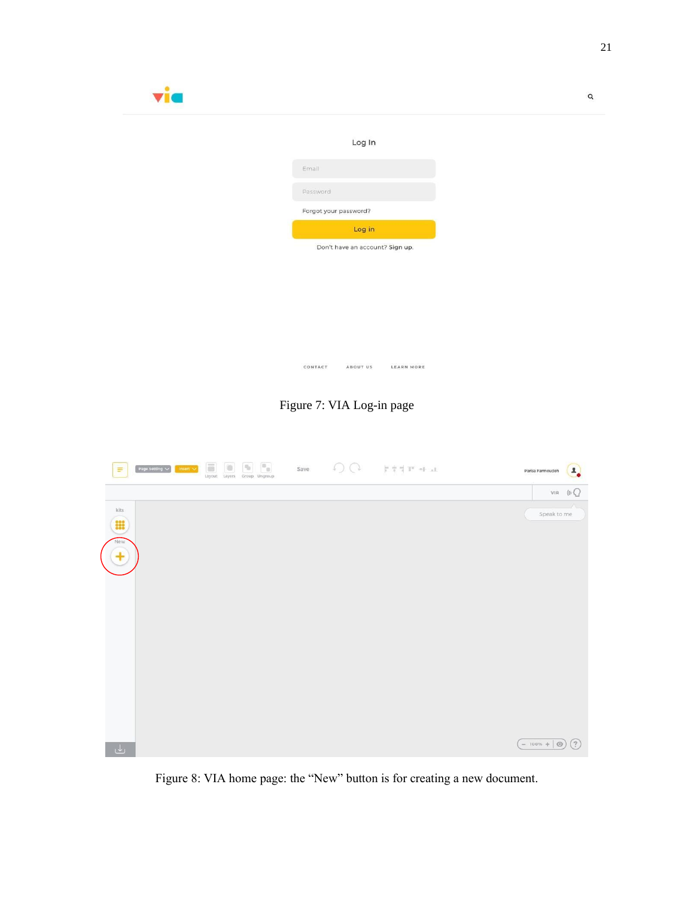| via |                                           |  |
|-----|-------------------------------------------|--|
|     | Log In                                    |  |
|     | Email                                     |  |
|     | Password                                  |  |
|     | Forgot your password?                     |  |
|     | Log in<br>Don't have an account? Sign up. |  |
|     |                                           |  |
|     |                                           |  |
|     |                                           |  |
|     |                                           |  |
|     | CONTACT<br>ABOUT US<br><b>LEARN MORE</b>  |  |

Figure 7: VIA Log-in page



Figure 8: VIA home page: the "New" button is for creating a new document.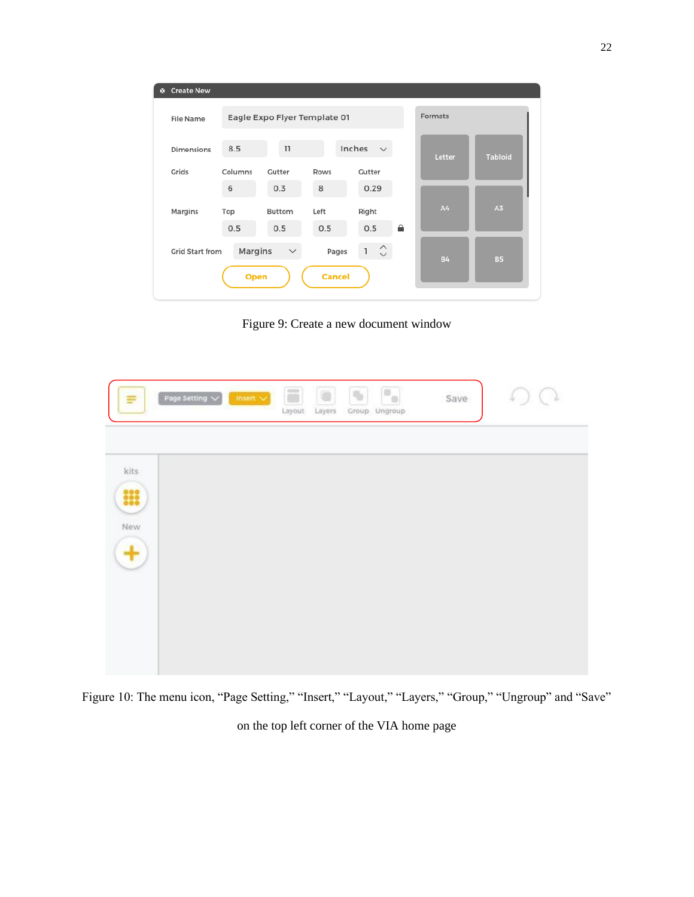| <b>Create New</b><br>ø. |         |                              |               |                                                                  |         |           |                |
|-------------------------|---------|------------------------------|---------------|------------------------------------------------------------------|---------|-----------|----------------|
| <b>File Name</b>        |         | Eagle Expo Flyer Template 01 |               |                                                                  | Formats |           |                |
| <b>Dimensions</b>       | 8.5     | 11                           |               | Inches<br>$\checkmark$                                           |         | Letter    | <b>Tabloid</b> |
| Grids                   | Columns | Gutter                       | Rows          | Gutter                                                           |         |           |                |
|                         | 6       | 0.3                          | 8             | 0.29                                                             |         |           |                |
| Margins                 | Top     | Buttom                       | Left          | Right                                                            |         | A4        | A <sub>3</sub> |
|                         | 0.5     | 0.5                          | 0.5           | 0.5                                                              | ≙       |           |                |
| <b>Grid Start from</b>  | Margins | $\checkmark$                 | Pages         | $\hat{\mathbin{\hspace{1pt}\cdot\hspace{1pt}}\hspace{1pt}}$<br>ı |         | <b>B4</b> | <b>B5</b>      |
|                         | Open    |                              | <b>Cancel</b> |                                                                  |         |           |                |

Figure 9: Create a new document window

| Ξ                | Page Setting $\sqrt{}$<br>$insert \times$ | $\overline{\phantom{a}}$<br>O<br>Layers<br>Layout | F.<br>$\eta_0$<br>Group Ungroup | Save | ÷ |
|------------------|-------------------------------------------|---------------------------------------------------|---------------------------------|------|---|
| kits             |                                           |                                                   |                                 |      |   |
| 00               |                                           |                                                   |                                 |      |   |
| New<br>$\ddot{}$ |                                           |                                                   |                                 |      |   |
|                  |                                           |                                                   |                                 |      |   |
|                  |                                           |                                                   |                                 |      |   |
|                  |                                           |                                                   |                                 |      |   |

Figure 10: The menu icon, "Page Setting," "Insert," "Layout," "Layers," "Group," "Ungroup" and "Save"

on the top left corner of the VIA home page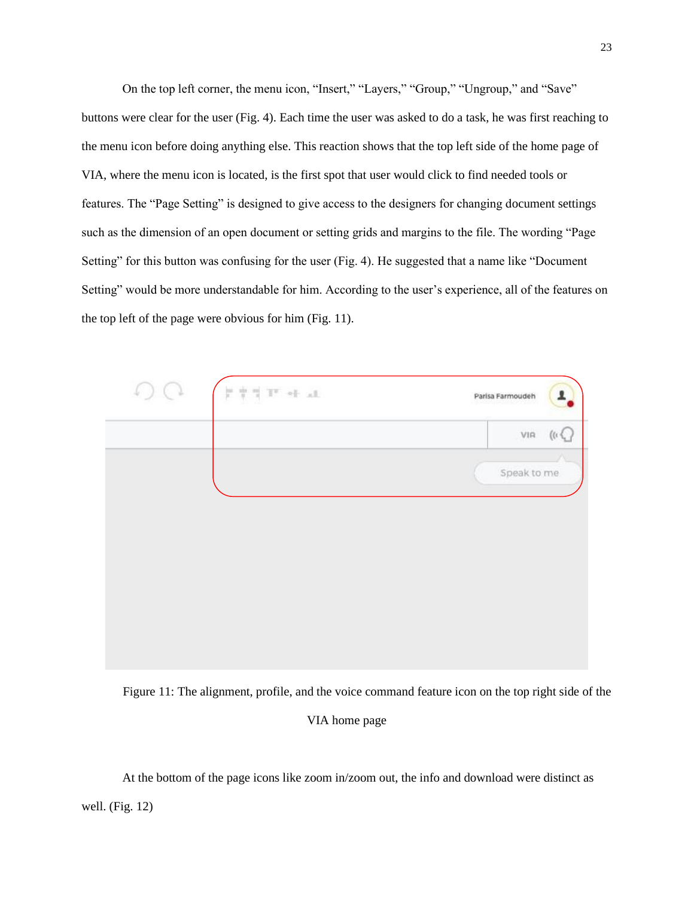On the top left corner, the menu icon, "Insert," "Layers," "Group," "Ungroup," and "Save" buttons were clear for the user (Fig. 4). Each time the user was asked to do a task, he was first reaching to the menu icon before doing anything else. This reaction shows that the top left side of the home page of VIA, where the menu icon is located, is the first spot that user would click to find needed tools or features. The "Page Setting" is designed to give access to the designers for changing document settings such as the dimension of an open document or setting grids and margins to the file. The wording "Page Setting" for this button was confusing for the user (Fig. 4). He suggested that a name like "Document Setting" would be more understandable for him. According to the user's experience, all of the features on the top left of the page were obvious for him (Fig. 11).

| $\frac{1}{\lambda} \cdot \frac{1}{\lambda} \cdot \frac{1}{\lambda}$ .<br>In , we will | 1<br>Parisa Farmoudeh  |
|---------------------------------------------------------------------------------------|------------------------|
|                                                                                       | $_{\rm VIR}$<br>(1, 1) |
|                                                                                       | Speak to me            |
|                                                                                       |                        |
|                                                                                       |                        |
|                                                                                       |                        |
|                                                                                       |                        |
|                                                                                       |                        |
|                                                                                       |                        |

Figure 11: The alignment, profile, and the voice command feature icon on the top right side of the

#### VIA home page

At the bottom of the page icons like zoom in/zoom out, the info and download were distinct as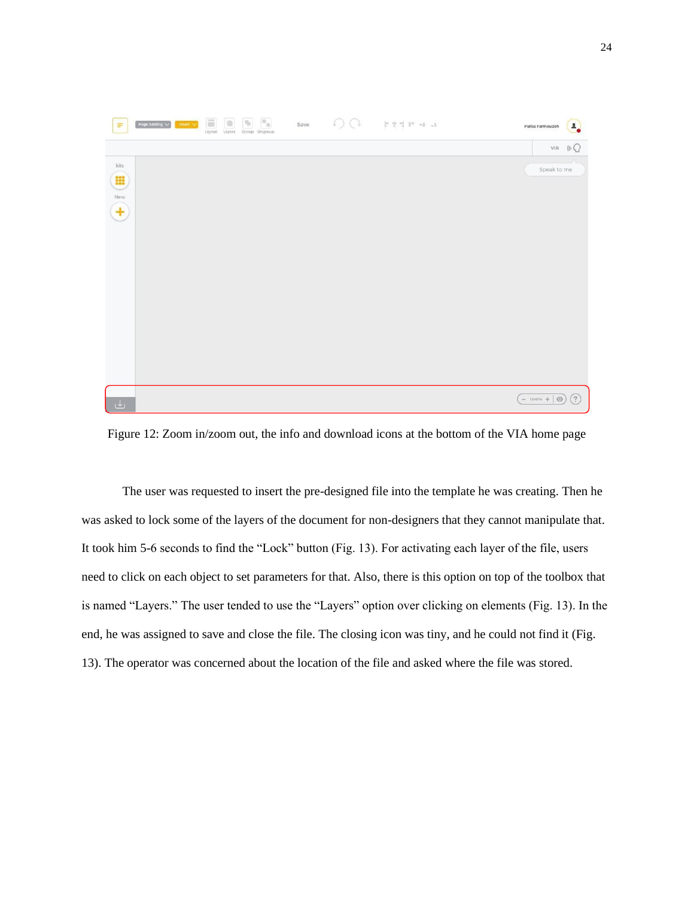

Figure 12: Zoom in/zoom out, the info and download icons at the bottom of the VIA home page

The user was requested to insert the pre-designed file into the template he was creating. Then he was asked to lock some of the layers of the document for non-designers that they cannot manipulate that. It took him 5-6 seconds to find the "Lock" button (Fig. 13). For activating each layer of the file, users need to click on each object to set parameters for that. Also, there is this option on top of the toolbox that is named "Layers." The user tended to use the "Layers" option over clicking on elements (Fig. 13). In the end, he was assigned to save and close the file. The closing icon was tiny, and he could not find it (Fig. 13). The operator was concerned about the location of the file and asked where the file was stored.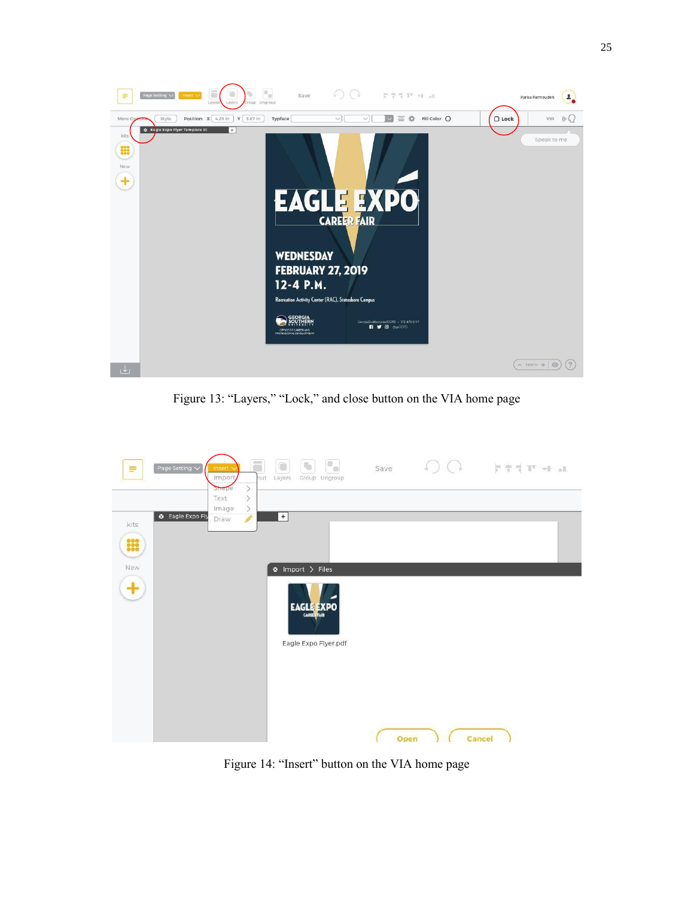

Figure 13: "Layers," "Lock," and close button on the VIA home page

| Ξ    | Page Setting $\vee$     | Insert<br>Import,<br><b>Smape</b> | Ħ<br>out<br>$\langle$ | Layers | $\sigma_{\rm e}$<br>$\eta_{\rm b}$<br>Group Ungroup     | Save | <b>クウイア *トat</b> |
|------|-------------------------|-----------------------------------|-----------------------|--------|---------------------------------------------------------|------|------------------|
|      |                         | Text                              | $\geq$                |        |                                                         |      |                  |
|      | <b>@</b> Eagle Expo Fly | Image<br>Draw                     | $\rightarrow$<br>P    | $+$    |                                                         |      |                  |
| kits |                         |                                   |                       |        |                                                         |      |                  |
| m    |                         |                                   |                       |        |                                                         |      |                  |
| New  |                         |                                   |                       |        | $\otimes$ Import $>$ Files                              |      |                  |
|      |                         |                                   |                       |        | <b>EAGLE EXPO</b><br>CARELERAIR<br>Eagle Expo Flyer.pdf |      |                  |
|      |                         |                                   |                       |        |                                                         | Open | Cancel           |

Figure 14: "Insert" button on the VIA home page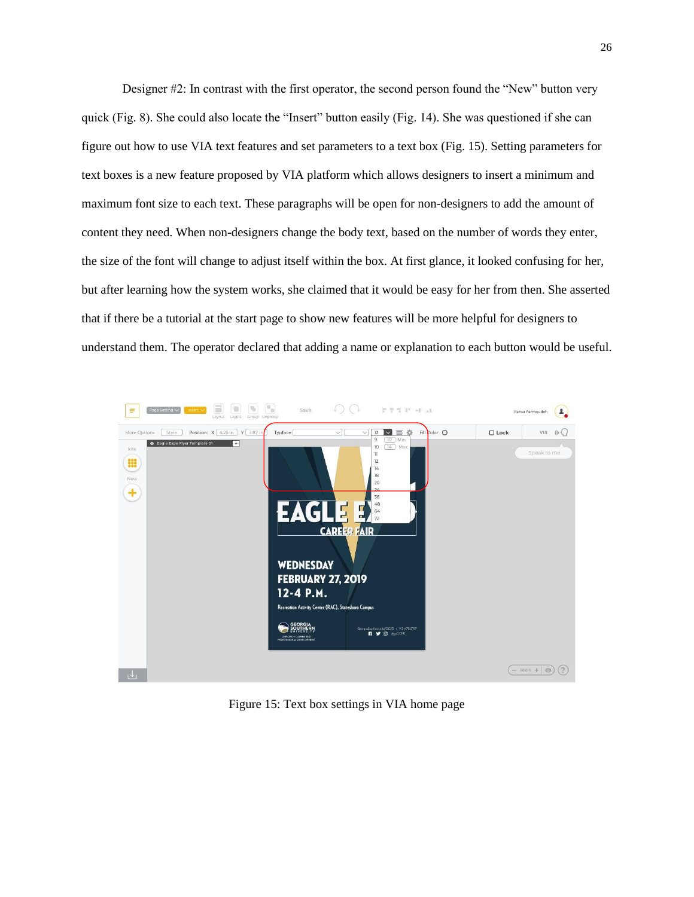Designer #2: In contrast with the first operator, the second person found the "New" button very quick (Fig. 8). She could also locate the "Insert" button easily (Fig. 14). She was questioned if she can figure out how to use VIA text features and set parameters to a text box (Fig. 15). Setting parameters for text boxes is a new feature proposed by VIA platform which allows designers to insert a minimum and maximum font size to each text. These paragraphs will be open for non-designers to add the amount of content they need. When non-designers change the body text, based on the number of words they enter, the size of the font will change to adjust itself within the box. At first glance, it looked confusing for her, but after learning how the system works, she claimed that it would be easy for her from then. She asserted that if there be a tutorial at the start page to show new features will be more helpful for designers to understand them. The operator declared that adding a name or explanation to each button would be useful.



Figure 15: Text box settings in VIA home page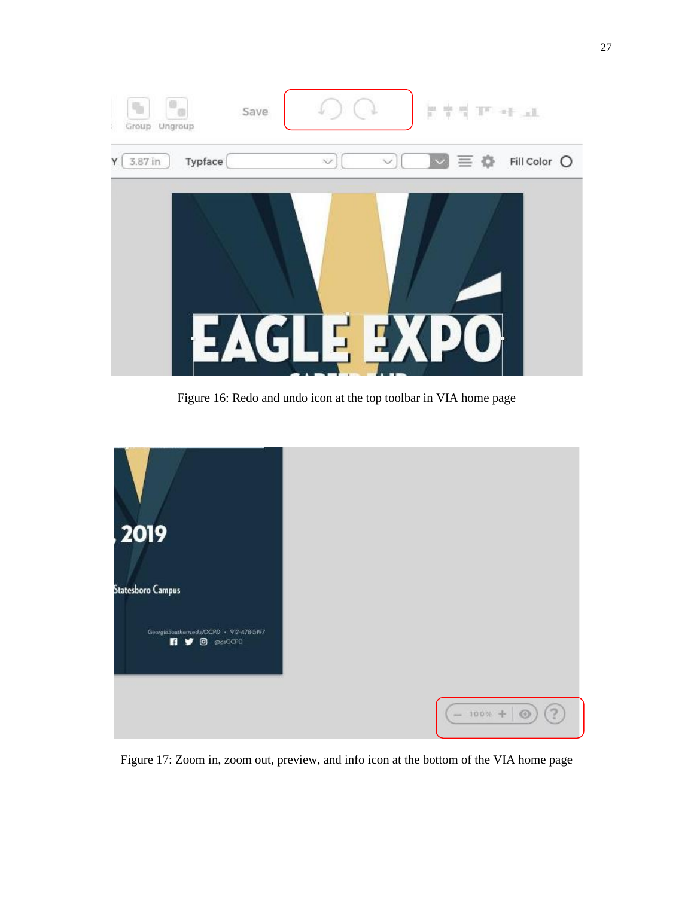

Figure 16: Redo and undo icon at the top toolbar in VIA home page

| 2019                                                                         |                                           |
|------------------------------------------------------------------------------|-------------------------------------------|
| <b>Statesboro Campus</b>                                                     |                                           |
| GeorgiaSouthernedu/OCPD + 912-478-5197<br>п<br><b>O</b> @gsOCPD<br>$\bullet$ |                                           |
|                                                                              | $\left( 2\right)$<br>$-100% +$<br>$\odot$ |

Figure 17: Zoom in, zoom out, preview, and info icon at the bottom of the VIA home page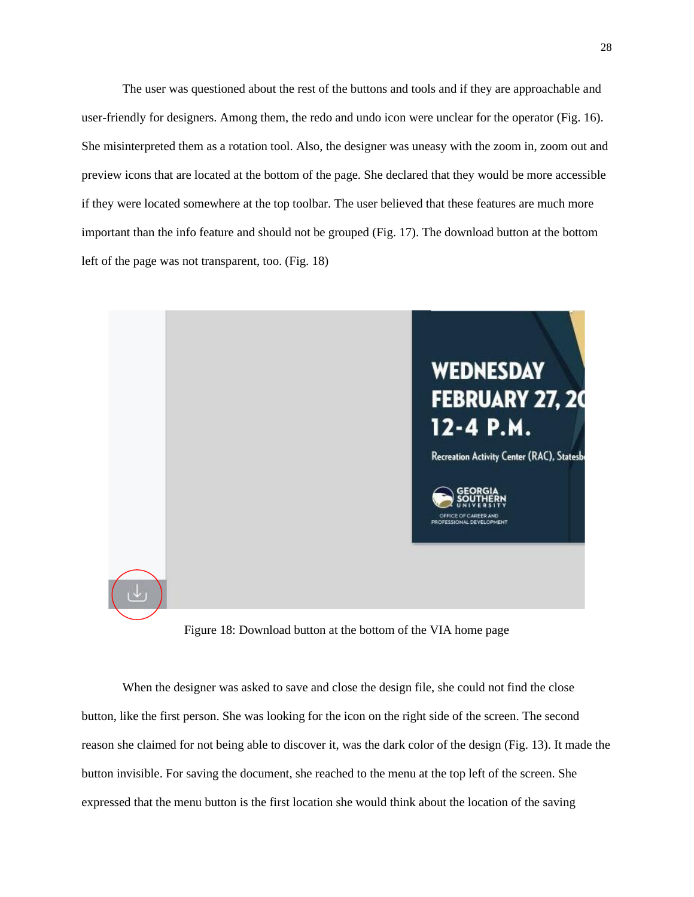The user was questioned about the rest of the buttons and tools and if they are approachable and user-friendly for designers. Among them, the redo and undo icon were unclear for the operator (Fig. 16). She misinterpreted them as a rotation tool. Also, the designer was uneasy with the zoom in, zoom out and preview icons that are located at the bottom of the page. She declared that they would be more accessible if they were located somewhere at the top toolbar. The user believed that these features are much more important than the info feature and should not be grouped (Fig. 17). The download button at the bottom left of the page was not transparent, too. (Fig. 18)



Figure 18: Download button at the bottom of the VIA home page

When the designer was asked to save and close the design file, she could not find the close button, like the first person. She was looking for the icon on the right side of the screen. The second reason she claimed for not being able to discover it, was the dark color of the design (Fig. 13). It made the button invisible. For saving the document, she reached to the menu at the top left of the screen. She expressed that the menu button is the first location she would think about the location of the saving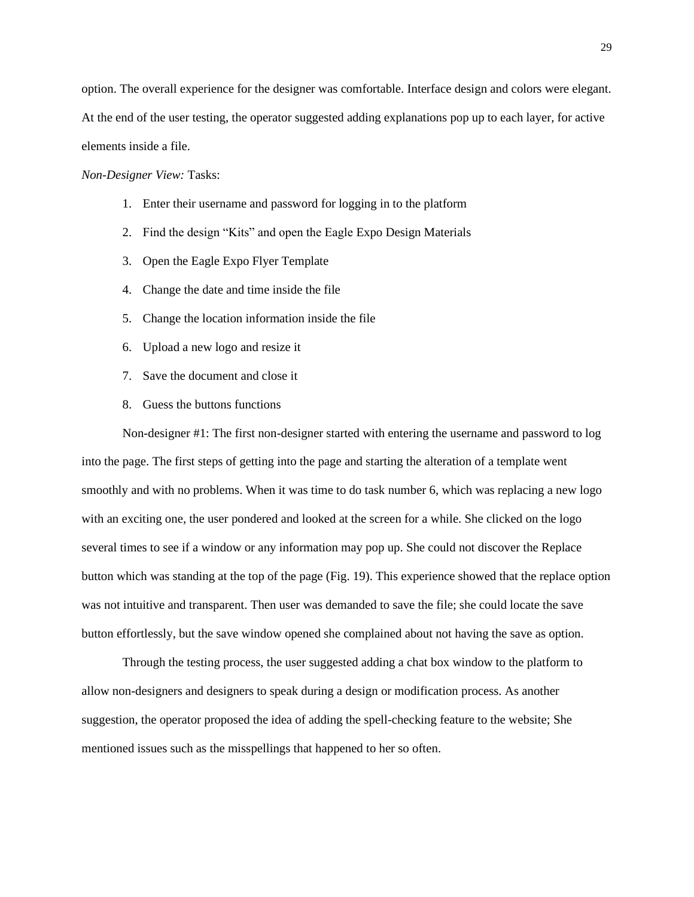option. The overall experience for the designer was comfortable. Interface design and colors were elegant. At the end of the user testing, the operator suggested adding explanations pop up to each layer, for active elements inside a file.

*Non-Designer View:* Tasks:

- 1. Enter their username and password for logging in to the platform
- 2. Find the design "Kits" and open the Eagle Expo Design Materials
- 3. Open the Eagle Expo Flyer Template
- 4. Change the date and time inside the file
- 5. Change the location information inside the file
- 6. Upload a new logo and resize it
- 7. Save the document and close it
- 8. Guess the buttons functions

Non-designer #1: The first non-designer started with entering the username and password to log into the page. The first steps of getting into the page and starting the alteration of a template went smoothly and with no problems. When it was time to do task number 6, which was replacing a new logo with an exciting one, the user pondered and looked at the screen for a while. She clicked on the logo several times to see if a window or any information may pop up. She could not discover the Replace button which was standing at the top of the page (Fig. 19). This experience showed that the replace option was not intuitive and transparent. Then user was demanded to save the file; she could locate the save button effortlessly, but the save window opened she complained about not having the save as option.

Through the testing process, the user suggested adding a chat box window to the platform to allow non-designers and designers to speak during a design or modification process. As another suggestion, the operator proposed the idea of adding the spell-checking feature to the website; She mentioned issues such as the misspellings that happened to her so often.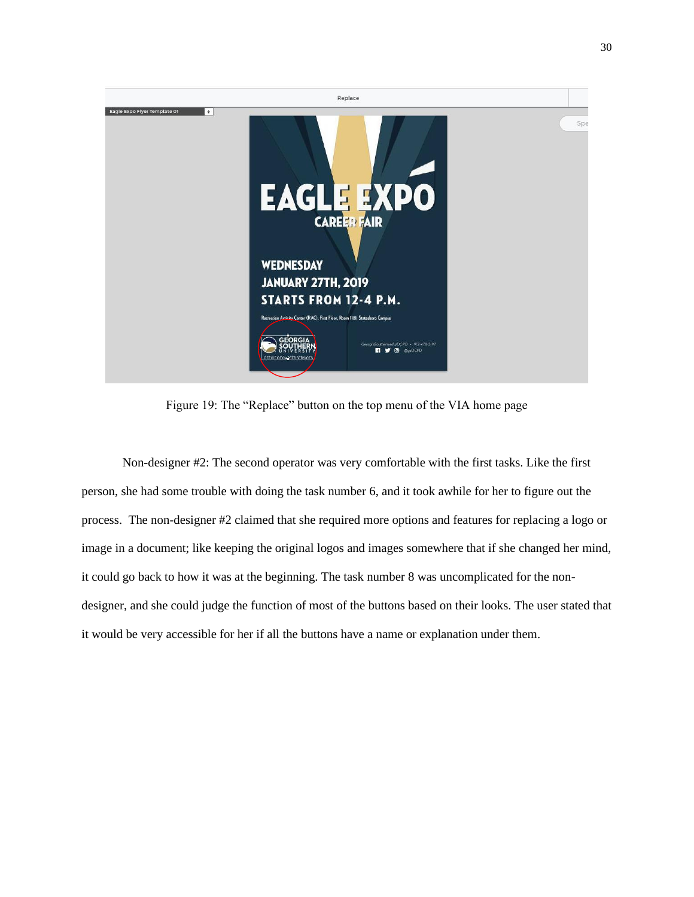

Figure 19: The "Replace" button on the top menu of the VIA home page

Non-designer #2: The second operator was very comfortable with the first tasks. Like the first person, she had some trouble with doing the task number 6, and it took awhile for her to figure out the process. The non-designer #2 claimed that she required more options and features for replacing a logo or image in a document; like keeping the original logos and images somewhere that if she changed her mind, it could go back to how it was at the beginning. The task number 8 was uncomplicated for the nondesigner, and she could judge the function of most of the buttons based on their looks. The user stated that it would be very accessible for her if all the buttons have a name or explanation under them.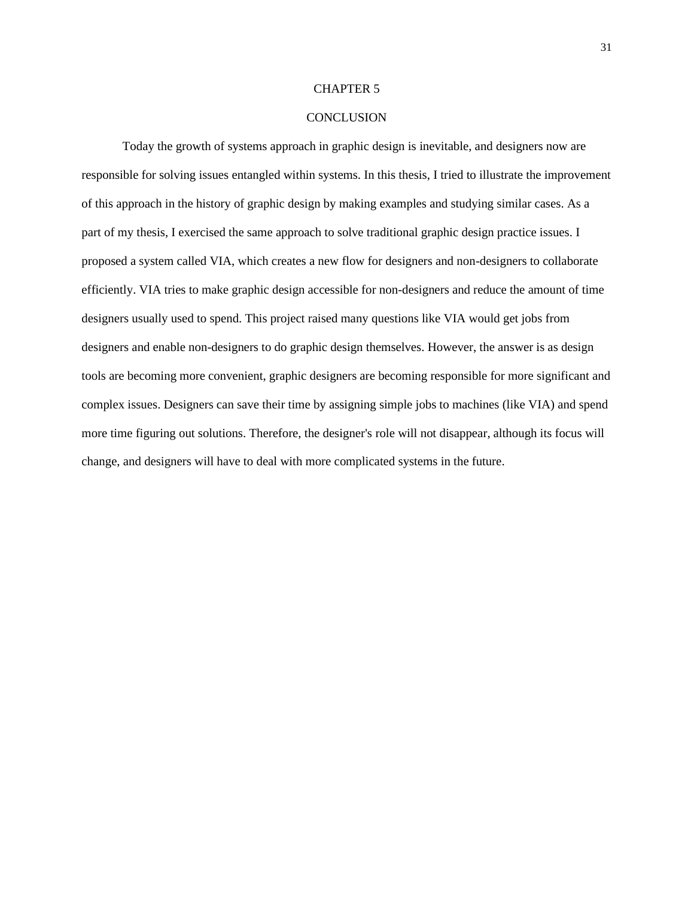#### CHAPTER 5

#### **CONCLUSION**

Today the growth of systems approach in graphic design is inevitable, and designers now are responsible for solving issues entangled within systems. In this thesis, I tried to illustrate the improvement of this approach in the history of graphic design by making examples and studying similar cases. As a part of my thesis, I exercised the same approach to solve traditional graphic design practice issues. I proposed a system called VIA, which creates a new flow for designers and non-designers to collaborate efficiently. VIA tries to make graphic design accessible for non-designers and reduce the amount of time designers usually used to spend. This project raised many questions like VIA would get jobs from designers and enable non-designers to do graphic design themselves. However, the answer is as design tools are becoming more convenient, graphic designers are becoming responsible for more significant and complex issues. Designers can save their time by assigning simple jobs to machines (like VIA) and spend more time figuring out solutions. Therefore, the designer's role will not disappear, although its focus will change, and designers will have to deal with more complicated systems in the future.